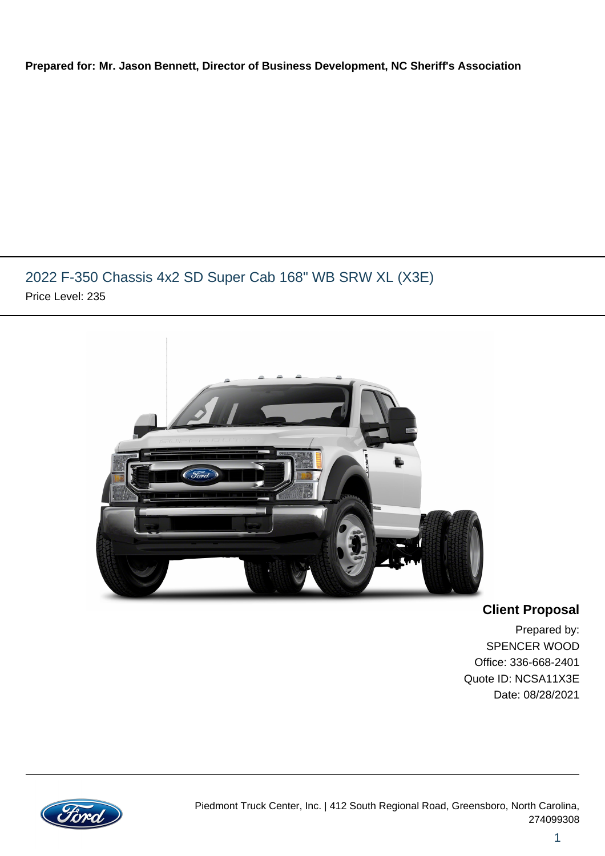#### **Prepared for: Mr. Jason Bennett, Director of Business Development, NC Sheriff's Association**

## 2022 F-350 Chassis 4x2 SD Super Cab 168" WB SRW XL (X3E) Price Level: 235



**Client Proposal**

Prepared by: SPENCER WOOD Office: 336-668-2401 Quote ID: NCSA11X3E Date: 08/28/2021

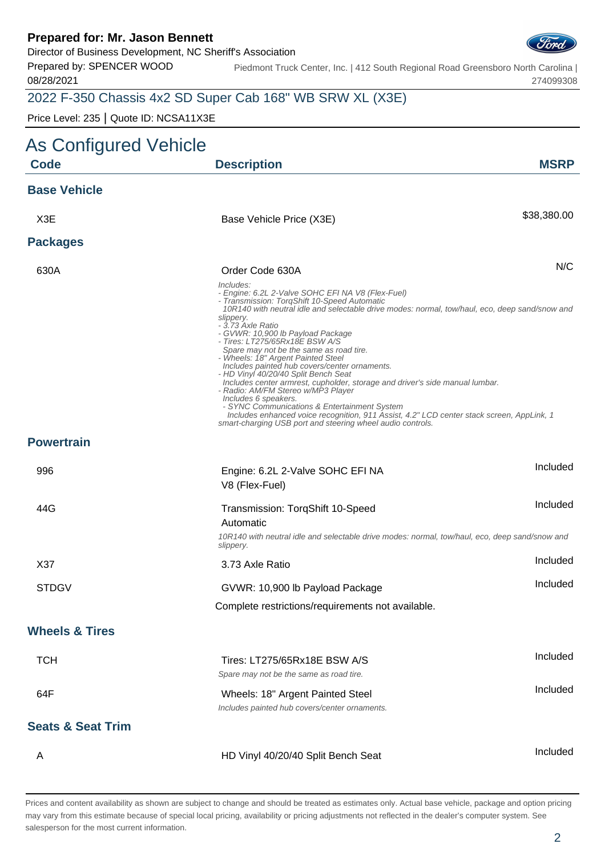Director of Business Development, NC Sheriff's Association

Prepared by: SPENCER WOOD 08/28/2021

Piedmont Truck Center, Inc. | 412 South Regional Road Greensboro North Carolina | 274099308

## 2022 F-350 Chassis 4x2 SD Super Cab 168" WB SRW XL (X3E)

Price Level: 235 | Quote ID: NCSA11X3E

| As Configured Vehicle        |                                                                                                                                                                                                                                                                                                                                                                                                                                                                                                                                                                                                                                                                                                                                                                                                                                                              |             |
|------------------------------|--------------------------------------------------------------------------------------------------------------------------------------------------------------------------------------------------------------------------------------------------------------------------------------------------------------------------------------------------------------------------------------------------------------------------------------------------------------------------------------------------------------------------------------------------------------------------------------------------------------------------------------------------------------------------------------------------------------------------------------------------------------------------------------------------------------------------------------------------------------|-------------|
| <b>Code</b>                  | <b>Description</b>                                                                                                                                                                                                                                                                                                                                                                                                                                                                                                                                                                                                                                                                                                                                                                                                                                           | <b>MSRP</b> |
| <b>Base Vehicle</b>          |                                                                                                                                                                                                                                                                                                                                                                                                                                                                                                                                                                                                                                                                                                                                                                                                                                                              |             |
| X <sub>3</sub> E             | Base Vehicle Price (X3E)                                                                                                                                                                                                                                                                                                                                                                                                                                                                                                                                                                                                                                                                                                                                                                                                                                     | \$38,380.00 |
| <b>Packages</b>              |                                                                                                                                                                                                                                                                                                                                                                                                                                                                                                                                                                                                                                                                                                                                                                                                                                                              |             |
| 630A                         | Order Code 630A                                                                                                                                                                                                                                                                                                                                                                                                                                                                                                                                                                                                                                                                                                                                                                                                                                              | N/C         |
|                              | Includes:<br>- Engine: 6.2L 2-Valve SOHC EFI NA V8 (Flex-Fuel)<br>- Transmission: TorqShift 10-Speed Automatic<br>10R140 with neutral idle and selectable drive modes: normal, tow/haul, eco, deep sand/snow and<br>slippery.<br>- 3.73 Axle Ratio<br>- GVWR: 10,900 lb Payload Package<br>- Tires: LT275/65Rx18E BSW A/S<br>Spare may not be the same as road tire.<br>- Wheels: 18" Argent Painted Steel<br>Includes painted hub covers/center ornaments.<br>- HD Vinyl 40/20/40 Split Bench Seat<br>Includes center armrest, cupholder, storage and driver's side manual lumbar.<br>- Radio: AM/FM Stereo w/MP3 Player<br>Includes 6 speakers.<br>- SYNC Communications & Entertainment System<br>Includes enhanced voice recognition, 911 Assist, 4.2" LCD center stack screen, AppLink, 1<br>smart-charging USB port and steering wheel audio controls. |             |
| <b>Powertrain</b>            |                                                                                                                                                                                                                                                                                                                                                                                                                                                                                                                                                                                                                                                                                                                                                                                                                                                              |             |
| 996                          | Engine: 6.2L 2-Valve SOHC EFI NA<br>V8 (Flex-Fuel)                                                                                                                                                                                                                                                                                                                                                                                                                                                                                                                                                                                                                                                                                                                                                                                                           | Included    |
| 44G                          | Transmission: TorqShift 10-Speed<br>Automatic<br>10R140 with neutral idle and selectable drive modes: normal, tow/haul, eco, deep sand/snow and<br>slippery.                                                                                                                                                                                                                                                                                                                                                                                                                                                                                                                                                                                                                                                                                                 | Included    |
| X37                          | 3.73 Axle Ratio                                                                                                                                                                                                                                                                                                                                                                                                                                                                                                                                                                                                                                                                                                                                                                                                                                              | Included    |
| <b>STDGV</b>                 | GVWR: 10,900 lb Payload Package                                                                                                                                                                                                                                                                                                                                                                                                                                                                                                                                                                                                                                                                                                                                                                                                                              | Included    |
|                              | Complete restrictions/requirements not available.                                                                                                                                                                                                                                                                                                                                                                                                                                                                                                                                                                                                                                                                                                                                                                                                            |             |
| <b>Wheels &amp; Tires</b>    |                                                                                                                                                                                                                                                                                                                                                                                                                                                                                                                                                                                                                                                                                                                                                                                                                                                              |             |
| <b>TCH</b>                   | Tires: LT275/65Rx18E BSW A/S<br>Spare may not be the same as road tire.                                                                                                                                                                                                                                                                                                                                                                                                                                                                                                                                                                                                                                                                                                                                                                                      | Included    |
| 64F                          | Wheels: 18" Argent Painted Steel<br>Includes painted hub covers/center ornaments.                                                                                                                                                                                                                                                                                                                                                                                                                                                                                                                                                                                                                                                                                                                                                                            | Included    |
| <b>Seats &amp; Seat Trim</b> |                                                                                                                                                                                                                                                                                                                                                                                                                                                                                                                                                                                                                                                                                                                                                                                                                                                              |             |
| A                            | HD Vinyl 40/20/40 Split Bench Seat                                                                                                                                                                                                                                                                                                                                                                                                                                                                                                                                                                                                                                                                                                                                                                                                                           | Included    |

| 996                          | Engine: 6.2L 2-Valve SOHC EFI NA<br>V8 (Flex-Fuel)                                                          | <b>IIIUIUUU</b> |
|------------------------------|-------------------------------------------------------------------------------------------------------------|-----------------|
| 44G                          | Transmission: TorqShift 10-Speed<br>Automatic                                                               | <b>Included</b> |
|                              | 10R140 with neutral idle and selectable drive modes: normal, tow/haul, eco, deep sand/snow and<br>slippery. |                 |
| X37                          | 3.73 Axle Ratio                                                                                             | <b>Included</b> |
| <b>STDGV</b>                 | GVWR: 10,900 lb Payload Package                                                                             | Included        |
|                              | Complete restrictions/requirements not available.                                                           |                 |
| <b>Wheels &amp; Tires</b>    |                                                                                                             |                 |
| <b>TCH</b>                   | Tires: LT275/65Rx18E BSW A/S<br>Spare may not be the same as road tire.                                     | Included        |
| 64F                          | Wheels: 18" Argent Painted Steel<br>Includes painted hub covers/center ornaments.                           | Included        |
| <b>Seats &amp; Seat Trim</b> |                                                                                                             |                 |
|                              |                                                                                                             | <u>Included</u> |

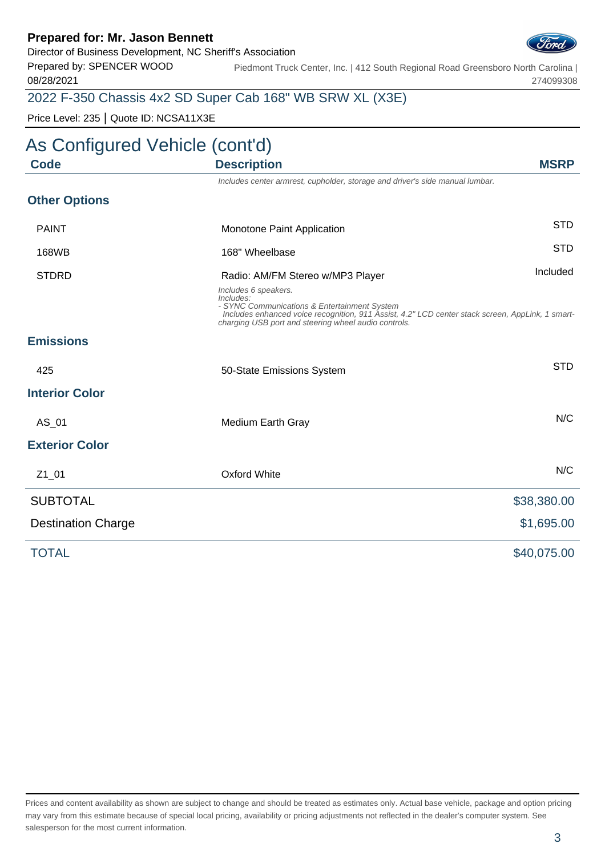Director of Business Development, NC Sheriff's Association

Prepared by: SPENCER WOOD 08/28/2021

Piedmont Truck Center, Inc. | 412 South Regional Road Greensboro North Carolina | 274099308

## 2022 F-350 Chassis 4x2 SD Super Cab 168" WB SRW XL (X3E)

Price Level: 235 | Quote ID: NCSA11X3E

# As Configured Vehicle (cont'd)

| Code                      | <b>Description</b>                                                                                                                                                                                                                            | <b>MSRP</b> |
|---------------------------|-----------------------------------------------------------------------------------------------------------------------------------------------------------------------------------------------------------------------------------------------|-------------|
|                           | Includes center armrest, cupholder, storage and driver's side manual lumbar.                                                                                                                                                                  |             |
| <b>Other Options</b>      |                                                                                                                                                                                                                                               |             |
| <b>PAINT</b>              | Monotone Paint Application                                                                                                                                                                                                                    | <b>STD</b>  |
| 168WB                     | 168" Wheelbase                                                                                                                                                                                                                                | <b>STD</b>  |
| <b>STDRD</b>              | Radio: AM/FM Stereo w/MP3 Player                                                                                                                                                                                                              | Included    |
|                           | Includes 6 speakers.<br>Includes:<br>- SYNC Communications & Entertainment System<br>Includes enhanced voice recognition, 911 Assist, 4.2" LCD center stack screen, AppLink, 1 smart-<br>charging USB port and steering wheel audio controls. |             |
| <b>Emissions</b>          |                                                                                                                                                                                                                                               |             |
| 425                       | 50-State Emissions System                                                                                                                                                                                                                     | <b>STD</b>  |
| <b>Interior Color</b>     |                                                                                                                                                                                                                                               |             |
| AS_01                     | Medium Earth Gray                                                                                                                                                                                                                             | N/C         |
| <b>Exterior Color</b>     |                                                                                                                                                                                                                                               |             |
| $Z1_01$                   | <b>Oxford White</b>                                                                                                                                                                                                                           | N/C         |
| <b>SUBTOTAL</b>           |                                                                                                                                                                                                                                               | \$38,380.00 |
| <b>Destination Charge</b> |                                                                                                                                                                                                                                               | \$1,695.00  |
| <b>TOTAL</b>              |                                                                                                                                                                                                                                               | \$40,075.00 |

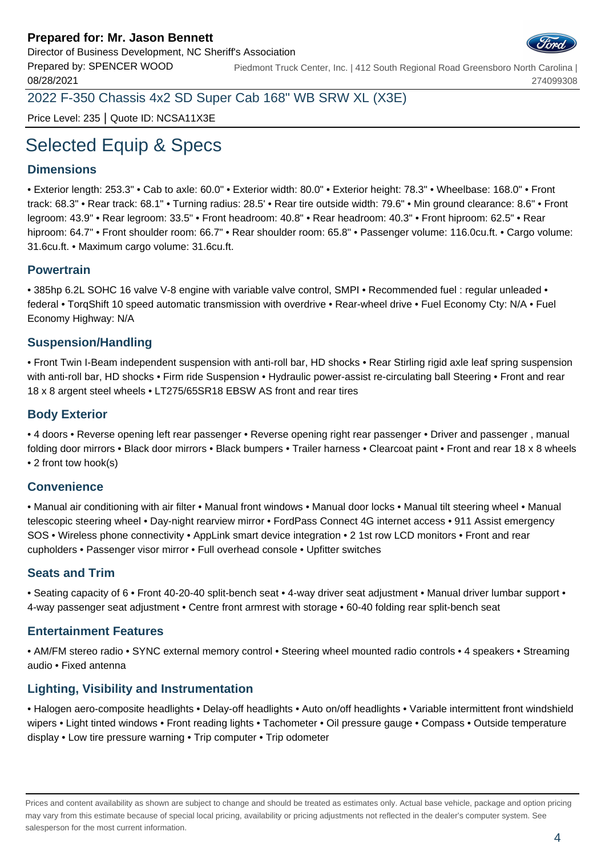

Prepared by: SPENCER WOOD 08/28/2021 Piedmont Truck Center, Inc. | 412 South Regional Road Greensboro North Carolina | 274099308

2022 F-350 Chassis 4x2 SD Super Cab 168" WB SRW XL (X3E)

Price Level: 235 | Quote ID: NCSA11X3E

# Selected Equip & Specs

### **Dimensions**

• Exterior length: 253.3" • Cab to axle: 60.0" • Exterior width: 80.0" • Exterior height: 78.3" • Wheelbase: 168.0" • Front track: 68.3" • Rear track: 68.1" • Turning radius: 28.5' • Rear tire outside width: 79.6" • Min ground clearance: 8.6" • Front legroom: 43.9" • Rear legroom: 33.5" • Front headroom: 40.8" • Rear headroom: 40.3" • Front hiproom: 62.5" • Rear hiproom: 64.7" • Front shoulder room: 66.7" • Rear shoulder room: 65.8" • Passenger volume: 116.0cu.ft. • Cargo volume: 31.6cu.ft. • Maximum cargo volume: 31.6cu.ft.

#### **Powertrain**

• 385hp 6.2L SOHC 16 valve V-8 engine with variable valve control, SMPI • Recommended fuel : regular unleaded • federal • TorqShift 10 speed automatic transmission with overdrive • Rear-wheel drive • Fuel Economy Cty: N/A • Fuel Economy Highway: N/A

#### **Suspension/Handling**

• Front Twin I-Beam independent suspension with anti-roll bar, HD shocks • Rear Stirling rigid axle leaf spring suspension with anti-roll bar, HD shocks • Firm ride Suspension • Hydraulic power-assist re-circulating ball Steering • Front and rear 18 x 8 argent steel wheels • LT275/65SR18 EBSW AS front and rear tires

#### **Body Exterior**

• 4 doors • Reverse opening left rear passenger • Reverse opening right rear passenger • Driver and passenger , manual folding door mirrors • Black door mirrors • Black bumpers • Trailer harness • Clearcoat paint • Front and rear 18 x 8 wheels • 2 front tow hook(s)

#### **Convenience**

• Manual air conditioning with air filter • Manual front windows • Manual door locks • Manual tilt steering wheel • Manual telescopic steering wheel • Day-night rearview mirror • FordPass Connect 4G internet access • 911 Assist emergency SOS • Wireless phone connectivity • AppLink smart device integration • 2 1st row LCD monitors • Front and rear cupholders • Passenger visor mirror • Full overhead console • Upfitter switches

#### **Seats and Trim**

• Seating capacity of 6 • Front 40-20-40 split-bench seat • 4-way driver seat adjustment • Manual driver lumbar support • 4-way passenger seat adjustment • Centre front armrest with storage • 60-40 folding rear split-bench seat

#### **Entertainment Features**

• AM/FM stereo radio • SYNC external memory control • Steering wheel mounted radio controls • 4 speakers • Streaming audio • Fixed antenna

#### **Lighting, Visibility and Instrumentation**

• Halogen aero-composite headlights • Delay-off headlights • Auto on/off headlights • Variable intermittent front windshield wipers • Light tinted windows • Front reading lights • Tachometer • Oil pressure gauge • Compass • Outside temperature display • Low tire pressure warning • Trip computer • Trip odometer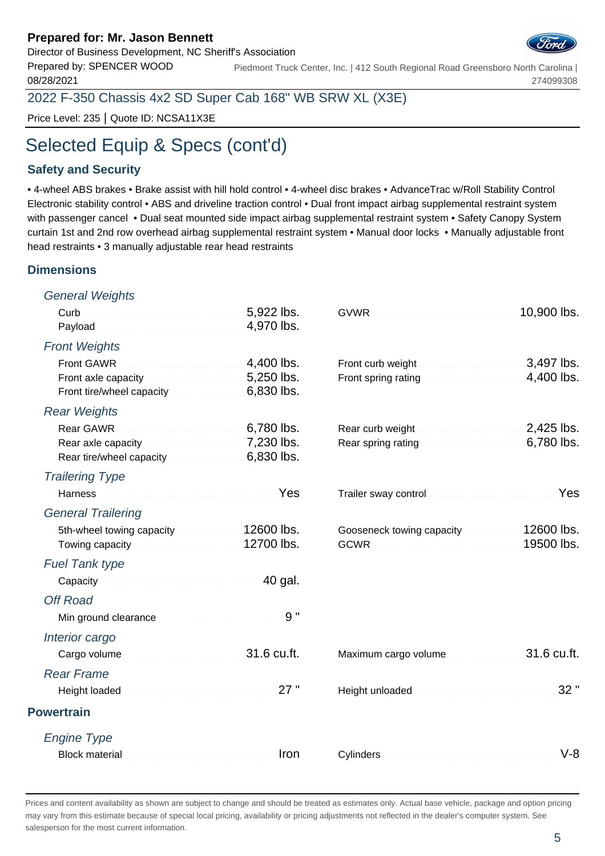Director of Business Development, NC Sheriff's Association

Prepared by: SPENCER WOOD 08/28/2021 Piedmont Truck Center, Inc. | 412 South Regional Road Greensboro North Carolina | 274099308

2022 F-350 Chassis 4x2 SD Super Cab 168" WB SRW XL (X3E)

Price Level: 235 | Quote ID: NCSA11X3E

# Selected Equip & Specs (cont'd)

#### **Safety and Security**

• 4-wheel ABS brakes • Brake assist with hill hold control • 4-wheel disc brakes • AdvanceTrac w/Roll Stability Control Electronic stability control • ABS and driveline traction control • Dual front impact airbag supplemental restraint system with passenger cancel • Dual seat mounted side impact airbag supplemental restraint system • Safety Canopy System curtain 1st and 2nd row overhead airbag supplemental restraint system • Manual door locks • Manually adjustable front head restraints • 3 manually adjustable rear head restraints

#### **Dimensions**

General Weights

| Payload <b>Material Communities</b> 2,970 lbs.                                                                                                                                                                                |                          |                                                                                                                                                                                                                                | 10,900 lbs.              |
|-------------------------------------------------------------------------------------------------------------------------------------------------------------------------------------------------------------------------------|--------------------------|--------------------------------------------------------------------------------------------------------------------------------------------------------------------------------------------------------------------------------|--------------------------|
| <b>Front Weights</b>                                                                                                                                                                                                          |                          |                                                                                                                                                                                                                                |                          |
| <b>Front GAWR</b><br>.<br>Tana ara-daharanjarahasin'ilay kaominina dia 40.000 km.<br>Front axle capacity <b>Exercise 2008</b> . 5,250 lbs.<br>Front tire/wheel capacity [11] [11] Front tire/wheel capacity                   | 4,400 lbs.<br>6,830 lbs. | Front spring rating                                                                                                                                                                                                            | 3,497 lbs.<br>4,400 lbs. |
| <b>Rear Weights</b>                                                                                                                                                                                                           |                          |                                                                                                                                                                                                                                |                          |
| 6,780 lbs.<br>Rear GAWR<br>Rear axle capacity Manuscriptus 2,230 lbs.<br>Rear tire/wheel capacity 6,830 lbs.                                                                                                                  |                          | Rear curb weight <b>Exercise 2.425</b> lbs.<br>Rear spring rating <b>Electron Communist Property</b>                                                                                                                           | 6,780 lbs.               |
| <b>Trailering Type</b>                                                                                                                                                                                                        |                          |                                                                                                                                                                                                                                |                          |
| Harness <b>Market Committee Committee Planning</b> Yes                                                                                                                                                                        |                          | Trailer sway control manufacturers and control to the state of the state of the state of the state of the state of the state of the state of the state of the state of the state of the state of the state of the state of the | Yes                      |
| <b>General Trailering</b>                                                                                                                                                                                                     |                          |                                                                                                                                                                                                                                |                          |
| 5th-wheel towing capacity <b>State of August</b> 12600 lbs.<br>Towing capacity <b>Constitution Constructs</b> 12700 lbs.                                                                                                      |                          | Gooseneck towing capacity 12600 lbs.<br>GCWR <b>CONSULTANT CONTROL</b> 19500 lbs.                                                                                                                                              |                          |
| <b>Fuel Tank type</b>                                                                                                                                                                                                         |                          |                                                                                                                                                                                                                                |                          |
| Capacity Capacity Capacity Committee Capacity Capacity Capacity Capacity Capacity Capacity Capacity Capacity C                                                                                                                |                          |                                                                                                                                                                                                                                |                          |
| <b>Off Road</b>                                                                                                                                                                                                               |                          |                                                                                                                                                                                                                                |                          |
|                                                                                                                                                                                                                               | 9"                       |                                                                                                                                                                                                                                |                          |
| Interior cargo                                                                                                                                                                                                                |                          |                                                                                                                                                                                                                                |                          |
| Cargo volume <b>contract to the contract of the Cargo volume</b>                                                                                                                                                              |                          |                                                                                                                                                                                                                                | 31.6 cu.ft.              |
| <b>Rear Frame</b>                                                                                                                                                                                                             |                          |                                                                                                                                                                                                                                |                          |
| Height loaded Material Communication 27 "                                                                                                                                                                                     |                          |                                                                                                                                                                                                                                | 32"                      |
| <b>Powertrain</b>                                                                                                                                                                                                             |                          |                                                                                                                                                                                                                                |                          |
| <b>Engine Type</b>                                                                                                                                                                                                            |                          |                                                                                                                                                                                                                                |                          |
| Block material communications and containing and all the state of the state of the state of the state of the state of the state of the state of the state of the state of the state of the state of the state of the state of | Iron                     |                                                                                                                                                                                                                                | $V-8$                    |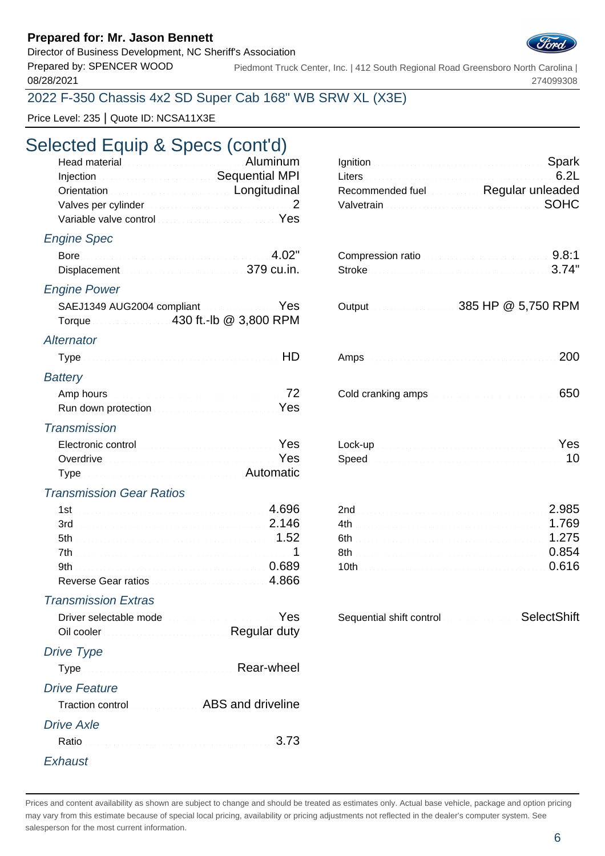Director of Business Development, NC Sheriff's Association

08/28/2021

Prepared by: SPENCER WOOD Piedmont Truck Center, Inc. | 412 South Regional Road Greensboro North Carolina | 274099308

### 2022 F-350 Chassis 4x2 SD Super Cab 168" WB SRW XL (X3E)

Price Level: 235 | Quote ID: NCSA11X3E

## Selected Equip & Specs (cont'd)

| Head material <b>Election Control Control Control Control Control Control Control Control Control Control Control Control Control Control Control Control Control Control Control Control Control Control Control Control Contro</b><br>Injection <b>Sequential MPI</b><br>Orientation Committee Conditional Longitudinal<br>Variable valve control with the control of the state of the Vest | Ignition Spark<br>6.2L<br>Recommended fuel Regular unleaded<br><b>SOHC</b>                                      |
|-----------------------------------------------------------------------------------------------------------------------------------------------------------------------------------------------------------------------------------------------------------------------------------------------------------------------------------------------------------------------------------------------|-----------------------------------------------------------------------------------------------------------------|
| <b>Engine Spec</b>                                                                                                                                                                                                                                                                                                                                                                            |                                                                                                                 |
| Bore 4.02"<br>Displacement Material Communication 379 cu.in.                                                                                                                                                                                                                                                                                                                                  | Compression ratio<br>Stroke 3.74"                                                                               |
| <b>Engine Power</b>                                                                                                                                                                                                                                                                                                                                                                           |                                                                                                                 |
| SAEJ1349 AUG2004 compliant Material Manuscript Yes<br>Torque 430 ft.-lb @ 3,800 RPM                                                                                                                                                                                                                                                                                                           |                                                                                                                 |
| Alternator                                                                                                                                                                                                                                                                                                                                                                                    |                                                                                                                 |
| HD                                                                                                                                                                                                                                                                                                                                                                                            | 200                                                                                                             |
| <b>Battery</b>                                                                                                                                                                                                                                                                                                                                                                                |                                                                                                                 |
| Amp hours and all and all and all and all and all and all and all and all and all and all and all and all and $72$<br>Run down protection Material Account Pes                                                                                                                                                                                                                                | 650                                                                                                             |
| <b>Transmission</b>                                                                                                                                                                                                                                                                                                                                                                           |                                                                                                                 |
| Electronic control <b>Electronic Control</b><br>Overdrive Committee of the Committee of the Committee of the Vest<br>Type Manual Communication and Automatic                                                                                                                                                                                                                                  | Lock-up Nest Participant and Contract of Contract of Contract of Contract of Contract of Contract of Contract o |
| <b>Transmission Gear Ratios</b>                                                                                                                                                                                                                                                                                                                                                               |                                                                                                                 |
| 3rd 2.146<br>Reverse Gear ratios                                                                                                                                                                                                                                                                                                                                                              | 2.985<br>6th <b>1.275</b><br>0.616                                                                              |
| <b>Transmission Extras</b><br>Driver selectable mode<br>Oil cooler <b>Constitution Cooler Cooler Cooler Cooler</b> Cooler Cooler Cooler Cooler                                                                                                                                                                                                                                                | Sequential shift control SelectShift                                                                            |
| Drive Type                                                                                                                                                                                                                                                                                                                                                                                    |                                                                                                                 |
| Type Manuscription of Rear-wheel                                                                                                                                                                                                                                                                                                                                                              |                                                                                                                 |
| <b>Drive Feature</b><br>Traction control <b>Traction</b> Control <b>ABS</b> and driveline                                                                                                                                                                                                                                                                                                     |                                                                                                                 |
| <b>Drive Axle</b><br>3.73                                                                                                                                                                                                                                                                                                                                                                     |                                                                                                                 |
| Exhaust                                                                                                                                                                                                                                                                                                                                                                                       |                                                                                                                 |

| Recommended fuel Regular unleaded |  |
|-----------------------------------|--|
|                                   |  |

| Compression ratio |  |
|-------------------|--|
| Stroke 3.74"      |  |

|  | 385 HP @ 5,750 RPM |
|--|--------------------|
|  |                    |

|--|--|

| Speed <b>Experience Continuous</b> 2010 10 |  |
|--------------------------------------------|--|

| 2.985            |
|------------------|
|                  |
| 6th <b>1.275</b> |
|                  |
|                  |
|                  |

| Sequential shift control<br>. | SelectShift |
|-------------------------------|-------------|
|-------------------------------|-------------|

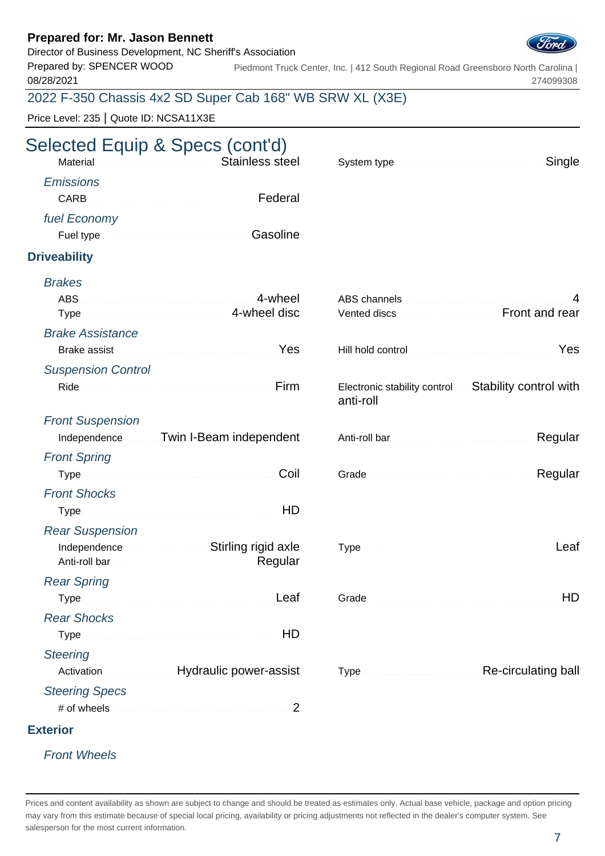Director of Business Development, NC Sheriff's Association

Prepared by: SPENCER WOOD 08/28/2021

Piedmont Truck Center, Inc. | 412 South Regional Road Greensboro North Carolina | 274099308

## 2022 F-350 Chassis 4x2 SD Super Cab 168" WB SRW XL (X3E)

Price Level: 235 | Quote ID: NCSA11X3E

# Selected Equip & Specs (cont'd)

|                  | Material Material Anticommunication of Stainless steel                                                                                                                                                                               | System type |  |
|------------------|--------------------------------------------------------------------------------------------------------------------------------------------------------------------------------------------------------------------------------------|-------------|--|
| <b>Emissions</b> |                                                                                                                                                                                                                                      |             |  |
| CARB             | Federal                                                                                                                                                                                                                              |             |  |
| fuel Economy     |                                                                                                                                                                                                                                      |             |  |
|                  | Fuel type <b>Executive Contract Contract Contract Contract Contract Contract Contract Contract Contract Contract Contract Contract Contract Contract Contract Contract Contract Contract Contract Contract Contract Contract Con</b> |             |  |

### **Driveability**

| <b>Brakes</b>                                                                    |                                                                                                                                                                        |
|----------------------------------------------------------------------------------|------------------------------------------------------------------------------------------------------------------------------------------------------------------------|
| 4-wheel<br><b>ABS</b><br><b>4-wheel disc</b><br><b>Type</b>                      | 4<br>Vented discs <b>Example 20</b> Front and rear                                                                                                                     |
| <b>Brake Assistance</b>                                                          |                                                                                                                                                                        |
| Brake assist March 2014 and State Brake assist March 2014 and State Brake assist | Yes                                                                                                                                                                    |
| <b>Suspension Control</b>                                                        |                                                                                                                                                                        |
| Firm                                                                             | Electronic stability control  Stability control with<br>anti-roll                                                                                                      |
| <b>Front Suspension</b>                                                          |                                                                                                                                                                        |
| Independence Twin I-Beam independent                                             | Regular                                                                                                                                                                |
| <b>Front Spring</b>                                                              |                                                                                                                                                                        |
| Coil                                                                             | Regular                                                                                                                                                                |
| <b>Front Shocks</b>                                                              |                                                                                                                                                                        |
|                                                                                  |                                                                                                                                                                        |
| <b>Rear Suspension</b>                                                           |                                                                                                                                                                        |
| Independence <b>Stirling</b> rigid axle                                          |                                                                                                                                                                        |
| <b>Rear Spring</b>                                                               |                                                                                                                                                                        |
| Type Manual Communication of the Leaf                                            | HD                                                                                                                                                                     |
| <b>Rear Shocks</b>                                                               |                                                                                                                                                                        |
|                                                                                  |                                                                                                                                                                        |
| <b>Steering</b>                                                                  |                                                                                                                                                                        |
| Activation <b>Material Properties</b> Hydraulic power-assist                     | Type <b>Type Type Type Type Type Type Type Type Type Type Type Type Type Type Type Type Type Type Type Type Type Type Type Type Type Type Type Type Type Type Type</b> |
| <b>Steering Specs</b>                                                            |                                                                                                                                                                        |
| # of wheels<br>2                                                                 |                                                                                                                                                                        |
| <b>Exterior</b>                                                                  |                                                                                                                                                                        |
|                                                                                  |                                                                                                                                                                        |

### Front Wheels

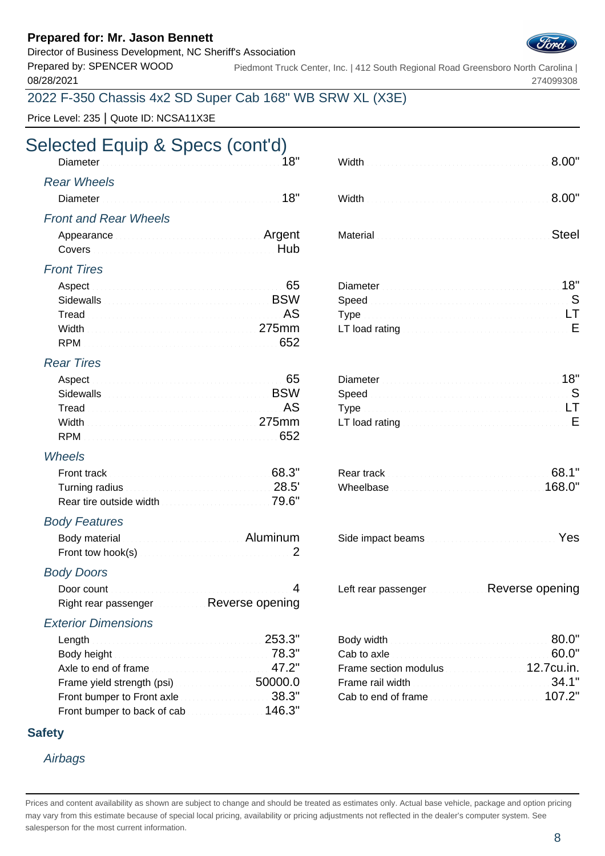Director of Business Development, NC Sheriff's Association

Prepared by: SPENCER WOOD 08/28/2021

Piedmont Truck Center, Inc. | 412 South Regional Road Greensboro North Carolina | 274099308

## 2022 F-350 Chassis 4x2 SD Super Cab 168" WB SRW XL (X3E)

Price Level: 235 | Quote ID: NCSA11X3E

# Selected Equip & Specs (cont'd)

| <u>Diameter distribution of the community of the community of the community of the community of the community of the community of the community of the community of the community of the community of the community of the commu</u> |                                                             |  |
|--------------------------------------------------------------------------------------------------------------------------------------------------------------------------------------------------------------------------------------|-------------------------------------------------------------|--|
| <b>Rear Wheels</b>                                                                                                                                                                                                                   |                                                             |  |
| Diameter <b>Material Communities</b> and the set of the set of the set of the set of the set of the set of the set of the set of the set of the set of the set of the set of the set of the set of the set of the set of the set of  |                                                             |  |
| <b>Front and Rear Wheels</b>                                                                                                                                                                                                         |                                                             |  |
| Appearance <b>Election Contract Contract Propert</b>                                                                                                                                                                                 | Material <b>Material According to the Contract of Steel</b> |  |
|                                                                                                                                                                                                                                      |                                                             |  |

|                     | Width <b>2000</b> - 2010 - 2020 - 2020 - 2020 - 2020 - 2020 - 2020 - 2020 - 2020 - 2020 - 2020 - 2020 - 2020 - 2020 - 2020 - 2020 - 2020 - 2020 - 2020 - 2020 - 2020 - 2020 - 2020 - 2020 - 2020 - 2020 - 2020 - 2020 - 2020 - 2020 |  |
|---------------------|-------------------------------------------------------------------------------------------------------------------------------------------------------------------------------------------------------------------------------------|--|
| ar Wheels           |                                                                                                                                                                                                                                     |  |
|                     | Width <b>2000</b> - 2010 - 2020 - 2020 - 2020 - 2020 - 2020 - 2020 - 2020 - 2020 - 2020 - 2020 - 2020 - 2020 - 2020 - 2020 - 2020 - 2020 - 2020 - 2020 - 2020 - 2020 - 2020 - 2020 - 2020 - 2020 - 2020 - 2020 - 2020 - 2020 - 2020 |  |
| ont and Rear Wheels |                                                                                                                                                                                                                                     |  |
|                     |                                                                                                                                                                                                                                     |  |

### Front Tires

|  | Diameter <b>Material Contract Contract Contract Contract Contract Contract Contract Contract Contract Contract Contract Contract On AB</b>   |  |
|--|----------------------------------------------------------------------------------------------------------------------------------------------|--|
|  | Speed <b>Speed Speed Speed Speed Speed Speed Speed </b>                                                                                      |  |
|  |                                                                                                                                              |  |
|  | Width $\ldots$ $\ldots$ $\ldots$ $\ldots$ $\ldots$ $\ldots$ $\ldots$ $\ldots$ $\ldots$ $\ldots$ $\ldots$ $\ldots$ $\ldots$ $\ldots$ $\ldots$ |  |
|  |                                                                                                                                              |  |

#### Rear Tires

|                                                                  | Diameter 2000 Manual Communication 2009 Manual 2019                 |  |
|------------------------------------------------------------------|---------------------------------------------------------------------|--|
| Sidewalls <b>Example 2018</b> Sidewalls <b>EXAMPLE</b>           |                                                                     |  |
| Tread <b>Executive Construction Construction Construction AS</b> |                                                                     |  |
| Width <u>Electron Manuel Communication</u> 275mm                 | LT load rating $\ldots$ . $\ldots$ . $\ldots$ . $\ldots$ . $\ldots$ |  |
|                                                                  |                                                                     |  |

#### **Wheels**

|                                                                                                      | 68.3" | <b>Rear track</b> the company of the company of the company of the company of the company of the company of the company of the company of the company of the company of the company of the company of the company of the company of | 68.1"  |
|------------------------------------------------------------------------------------------------------|-------|-------------------------------------------------------------------------------------------------------------------------------------------------------------------------------------------------------------------------------------|--------|
| Turning radius and all and all and all and all and all and all and all and all and all and all and a |       |                                                                                                                                                                                                                                     | 168.0" |
| Rear tire outside width <b>construction and the 79.6"</b>                                            |       |                                                                                                                                                                                                                                     |        |

#### Body Features

| Body material <b>Contract Contract Contract Contract Contract Contract Contract Contract Contract Contract Contract Contract Contract Contract Contract Contract Contract Contract Contract Contract Contract Contract Contract </b> |  |
|--------------------------------------------------------------------------------------------------------------------------------------------------------------------------------------------------------------------------------------|--|
| Front tow hook(s) Material Communication 2                                                                                                                                                                                           |  |

#### Body Doors

Right rear passenger Reverse opening

#### Exterior Dimensions

| Length 253.3"                                        | Body width <b>Exet Exet Exet Exet Solution</b> 80.0"      |  |
|------------------------------------------------------|-----------------------------------------------------------|--|
|                                                      | Cab to axle <b>Exercise Cab</b> 60.0"                     |  |
| Axle to end of frame                                 | Frame section modulus <b>Example 2.7 COM</b> 12.7 cu. in. |  |
| Frame yield strength (psi)                           | Frame rail width <b>Exercise Community</b> 34.1"          |  |
| Front bumper to Front axle <b>Exercise 2018</b> 2019 | Cab to end of frame                                       |  |
| Front bumper to back of cab                          |                                                           |  |

#### **Safety**

#### **Airbags**

| ill and Real Wheels |      |                                                                                                                                                                                                                                      |  |
|---------------------|------|--------------------------------------------------------------------------------------------------------------------------------------------------------------------------------------------------------------------------------------|--|
|                     |      | Material <b>Executive Contract Contract Contract Contract Contract Contract Contract Contract Contract Contract Contract Contract Contract Contract Contract Contract Contract Contract Contract Contract Contract Contract Cont</b> |  |
| ont Tires           |      |                                                                                                                                                                                                                                      |  |
|                     | ---- | Diameter <b>Material Community</b> 18"                                                                                                                                                                                               |  |

| T load rating with a substitution of the contract of $\mathsf E$ |  |
|------------------------------------------------------------------|--|
|                                                                  |  |

|  | Side impact beams |  |
|--|-------------------|--|
|  |                   |  |

Door count **A** Left rear passenger **Reverse opening** Left rear passenger **Reverse opening** 

| Body width <b>Executive Contract Contract Contract Contract Contract Contract Contract Contract Contract Contract C</b> |  |
|-------------------------------------------------------------------------------------------------------------------------|--|
|                                                                                                                         |  |
| Frame section modulus <b>Constitution</b> 12.7cu.in.                                                                    |  |
| Frame rail width <b>Exercises</b> 2008 2014 194.1"                                                                      |  |
| Cab to end of frame                                                                                                     |  |

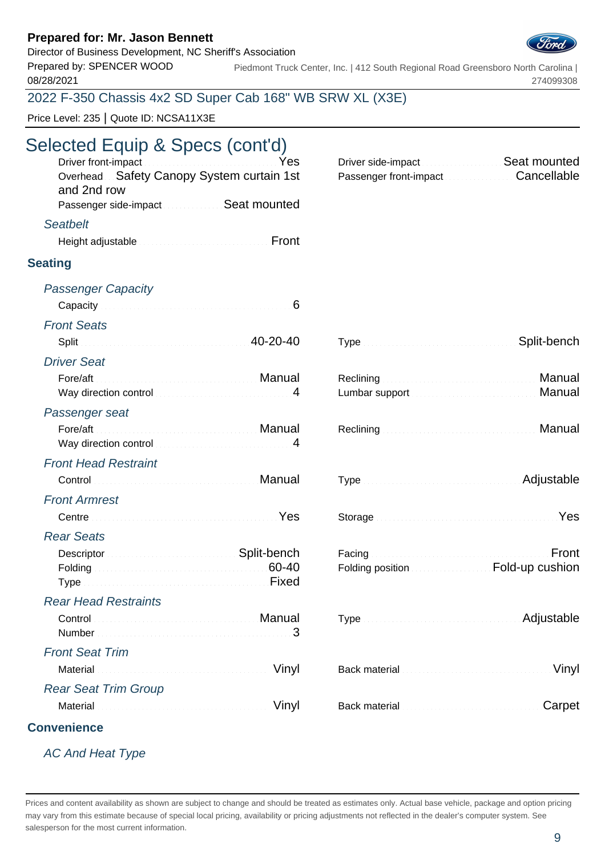Director of Business Development, NC Sheriff's Association

Prepared by: SPENCER WOOD 08/28/2021

Piedmont Truck Center, Inc. | 412 South Regional Road Greensboro North Carolina | 274099308

## 2022 F-350 Chassis 4x2 SD Super Cab 168" WB SRW XL (X3E)

Price Level: 235 | Quote ID: NCSA11X3E

# Selected Equip & Specs (cont'd)

| Yes<br>Overhead Safety Canopy System curtain 1st<br>and 2nd row                                                                                                                                                           | Driver side-impact <b>Constitution Seat mounted</b><br>Passenger front-impact Cancellable                                                                                                                                            |             |
|---------------------------------------------------------------------------------------------------------------------------------------------------------------------------------------------------------------------------|--------------------------------------------------------------------------------------------------------------------------------------------------------------------------------------------------------------------------------------|-------------|
| Passenger side-impact Seat mounted                                                                                                                                                                                        |                                                                                                                                                                                                                                      |             |
| <b>Seatbelt</b>                                                                                                                                                                                                           |                                                                                                                                                                                                                                      |             |
| Height adjustable <b>contract to the contract of the Front</b>                                                                                                                                                            |                                                                                                                                                                                                                                      |             |
| <b>Seating</b>                                                                                                                                                                                                            |                                                                                                                                                                                                                                      |             |
| <b>Passenger Capacity</b>                                                                                                                                                                                                 |                                                                                                                                                                                                                                      |             |
| Capacity Cancel Capacity Capacity Communications of Section 1994                                                                                                                                                          |                                                                                                                                                                                                                                      |             |
| <b>Front Seats</b>                                                                                                                                                                                                        |                                                                                                                                                                                                                                      |             |
| Split 40-20-40                                                                                                                                                                                                            |                                                                                                                                                                                                                                      | Split-bench |
| <b>Driver Seat</b>                                                                                                                                                                                                        |                                                                                                                                                                                                                                      |             |
|                                                                                                                                                                                                                           |                                                                                                                                                                                                                                      | Manual      |
| Way direction control measurement and the May direction control                                                                                                                                                           |                                                                                                                                                                                                                                      | Manual      |
| Passenger seat                                                                                                                                                                                                            |                                                                                                                                                                                                                                      |             |
| Manual Manual Albert Manual Manual<br>Fore/aft                                                                                                                                                                            |                                                                                                                                                                                                                                      | Manual      |
| Way direction control manuscription of 4                                                                                                                                                                                  |                                                                                                                                                                                                                                      |             |
| <b>Front Head Restraint</b>                                                                                                                                                                                               |                                                                                                                                                                                                                                      |             |
| Control <b>Control Control</b>                                                                                                                                                                                            | Type <b>Manual Community Community</b> Adjustable                                                                                                                                                                                    |             |
| <b>Front Armrest</b>                                                                                                                                                                                                      |                                                                                                                                                                                                                                      |             |
| Centre Yes                                                                                                                                                                                                                | Storage <b>Executive Contract Contract of Contract Contract Contract Contract Contract Contract Contract Contract Contract Contract Contract Contract Contract Contract Contract Contract Contract Contract Contract Contract Co</b> |             |
| <b>Rear Seats</b>                                                                                                                                                                                                         |                                                                                                                                                                                                                                      |             |
| Descriptor Communication Control Construction Control Construction Control Control Construction Control Constr                                                                                                            | Facing Management and Communications of the communications of the communications of the communications of the communications of the communications of the communications of the communications of the communications of the co       | Front       |
| Folding <b>60-40</b><br>Type Manuscript Allen and Type Manuscript Allen Bixed                                                                                                                                             | Folding position <b>EDIMENT COLLECT</b> Fold-up cushion                                                                                                                                                                              |             |
|                                                                                                                                                                                                                           |                                                                                                                                                                                                                                      |             |
| <b>Rear Head Restraints</b><br>Control <b>Control Control Control Control Control Control Control Control Control Control Control Control Control Control Control Control Control Control Control Control Control Con</b> |                                                                                                                                                                                                                                      | Adjustable  |
| 3                                                                                                                                                                                                                         |                                                                                                                                                                                                                                      |             |
| <b>Front Seat Trim</b>                                                                                                                                                                                                    |                                                                                                                                                                                                                                      |             |
| Vinyl                                                                                                                                                                                                                     |                                                                                                                                                                                                                                      | Vinyl       |
| <b>Rear Seat Trim Group</b>                                                                                                                                                                                               |                                                                                                                                                                                                                                      |             |
| Vinyl                                                                                                                                                                                                                     |                                                                                                                                                                                                                                      | Carpet      |
| <b>Convenience</b>                                                                                                                                                                                                        |                                                                                                                                                                                                                                      |             |

## AC And Heat Type

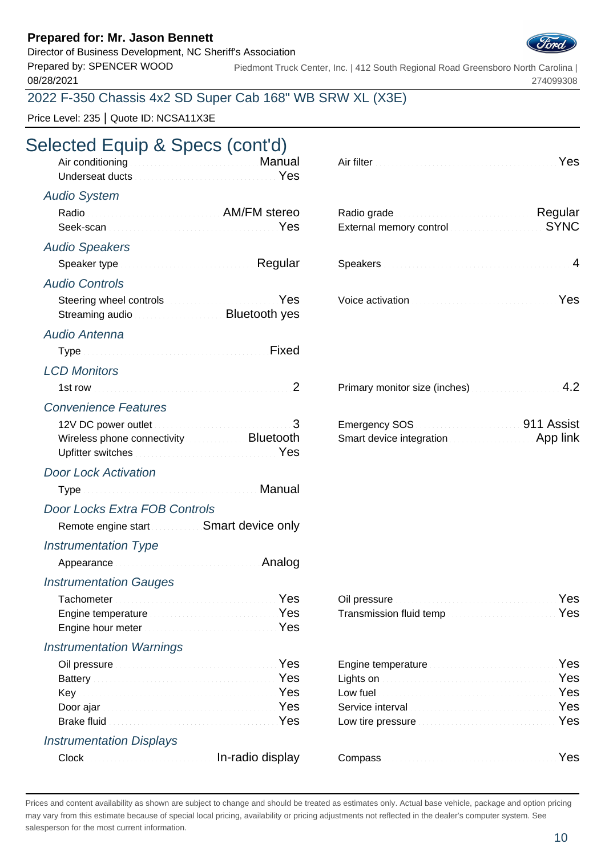Director of Business Development, NC Sheriff's Association

Prepared by: SPENCER WOOD 08/28/2021

Piedmont Truck Center, Inc. | 412 South Regional Road Greensboro North Carolina | 274099308

## 2022 F-350 Chassis 4x2 SD Super Cab 168" WB SRW XL (X3E)

Price Level: 235 | Quote ID: NCSA11X3E

# Selected Equip & Specs (cont'd)

| Air conditioning <b>Air Conditioning</b><br>Underseat ducts <b>Constitution Constitution</b> Pes                                                                                                                                                                                                       | Yes                                                                                                        |
|--------------------------------------------------------------------------------------------------------------------------------------------------------------------------------------------------------------------------------------------------------------------------------------------------------|------------------------------------------------------------------------------------------------------------|
| <b>Audio System</b>                                                                                                                                                                                                                                                                                    |                                                                                                            |
| Radio Radio AM/FM stereo                                                                                                                                                                                                                                                                               | Radio grade Manuel Alegular Regular<br>External memory control memorial SYNC                               |
| <b>Audio Speakers</b>                                                                                                                                                                                                                                                                                  |                                                                                                            |
| Speaker type <b>Speaker</b> type <b>Speaker</b> type <b>Speaker</b> type <b>Speaker</b> type <b>Speaker</b> type <b>Speaker</b> type <b>Speaker</b> type <b>Speaker</b> type <b>Speaker</b> type <b>Speaker</b> type <b>Speaker</b> type <b>Speaker</b> type <b>Speaker</b> type <b>Speaker</b> type   | $\overline{4}$                                                                                             |
| <b>Audio Controls</b>                                                                                                                                                                                                                                                                                  |                                                                                                            |
| Yes<br>Streaming audio <b>Streaming</b> and <b>Streaming</b> and <b>Streaming</b> and <b>Streaming</b> and <b>Streaming</b> and <b>Streaming</b> and <b>Streaming</b> and <b>Streaming</b> and <b>Streaming</b> and <b>Streaming</b> and <b>Streaming</b> and <b>Streaming</b> and <b>Streaming</b> an | Voice activation <b>Material Contract of Australian Contract Pres</b>                                      |
| Audio Antenna                                                                                                                                                                                                                                                                                          |                                                                                                            |
| Type Manuscript All Pixed Fixed                                                                                                                                                                                                                                                                        |                                                                                                            |
| <b>LCD Monitors</b>                                                                                                                                                                                                                                                                                    |                                                                                                            |
|                                                                                                                                                                                                                                                                                                        | Primary monitor size (inches) Manuscriptus 1.2                                                             |
| <b>Convenience Features</b>                                                                                                                                                                                                                                                                            |                                                                                                            |
| 12V DC power outlet Manuscript Allen 3<br>Wireless phone connectivity <b>Exercise 2.1 Bluetooth</b><br>Upfitter switches <b>Committee Committee Committee Committee</b> Yes                                                                                                                            | Emergency SOS <b>Manual Community</b> 1911 Assist<br>Smart device integration <b>Constitution</b> App link |
| <b>Door Lock Activation</b>                                                                                                                                                                                                                                                                            |                                                                                                            |
| Type Manual Manual Albert Manual Manual                                                                                                                                                                                                                                                                |                                                                                                            |
| Door Locks Extra FOB Controls                                                                                                                                                                                                                                                                          |                                                                                                            |
| Remote engine start <b>SMART SMART DEVICE ONLY</b>                                                                                                                                                                                                                                                     |                                                                                                            |
| <b>Instrumentation Type</b>                                                                                                                                                                                                                                                                            |                                                                                                            |
| Appearance <b>All Analog</b>                                                                                                                                                                                                                                                                           |                                                                                                            |
| <b>Instrumentation Gauges</b>                                                                                                                                                                                                                                                                          |                                                                                                            |
| Tachometer Manual Manual Manual Manual Mes<br>Yes<br>Engine temperature <b>Engine State of August 2018</b><br>Yes                                                                                                                                                                                      | Oil pressure <b>Election Communication</b> Pes<br>Yes                                                      |
| <b>Instrumentation Warnings</b>                                                                                                                                                                                                                                                                        |                                                                                                            |
| Yes<br>Oil pressure <b>Election Communication</b>                                                                                                                                                                                                                                                      | Yes                                                                                                        |
| Battery <b>Executive Community Community Press</b>                                                                                                                                                                                                                                                     | Yes<br>Lights on <b>Executive Construction Construction</b>                                                |
| Key Yes                                                                                                                                                                                                                                                                                                | Yes                                                                                                        |
| Yes<br>Brake fluid <b>Executive Contract Contract of Contract Contract Contract Contract Contract Contract Contract Contract Contract Contract Contract Contract Contract Contract Contract Contract Contract Contract Contract Contrac</b>                                                            | Yes<br>Yes                                                                                                 |
|                                                                                                                                                                                                                                                                                                        |                                                                                                            |
| <b>Instrumentation Displays</b>                                                                                                                                                                                                                                                                        |                                                                                                            |
| In-radio display<br>Clock                                                                                                                                                                                                                                                                              | Yes                                                                                                        |

| Radio grade <b>Material Contract and Regular</b><br>External memory control <b>External</b> SYNC |  |
|--------------------------------------------------------------------------------------------------|--|
| Speakers <b>Exercise Exercise Speakers</b> 4                                                     |  |
| Voice activation <b>Constitution Yes</b>                                                         |  |

|  |  | Primary monitor size (inches) Manuscriptus 1.2 |
|--|--|------------------------------------------------|
|--|--|------------------------------------------------|

| Emergency SOS            | 911 Assist |
|--------------------------|------------|
| Smart device integration | App link   |

| Transmission fluid temp <b>Construction Construction</b> Yes |  |
|--------------------------------------------------------------|--|

| Engine temperature <b>Engine Strategier Press</b>                                                                                                                                                                                    |              |
|--------------------------------------------------------------------------------------------------------------------------------------------------------------------------------------------------------------------------------------|--------------|
| Lights on <b>Executive Contract Contract on the State of August</b> 2014 <b>Yes</b>                                                                                                                                                  |              |
| Low fuel <b>Executive Contract Contract Contract Contract Contract Contract Contract Contract Contract Contract Contract Contract Contract Contract Contract Contract Contract Contract Contract Contract Contract Contract Cont</b> |              |
| Service interval <b>Service Contract Contract Contract Contract Contract Contract Contract Contract Contract Contract Contract Contract Contract Contract Contract Contract Contract Contract Contract Contract Contract Contrac</b> |              |
| Low tire pressure <b>Exercise Exercise Service Pressure</b> Yes                                                                                                                                                                      |              |
|                                                                                                                                                                                                                                      |              |
| C <sub>ammon</sub>                                                                                                                                                                                                                   | $V_{\Omega}$ |

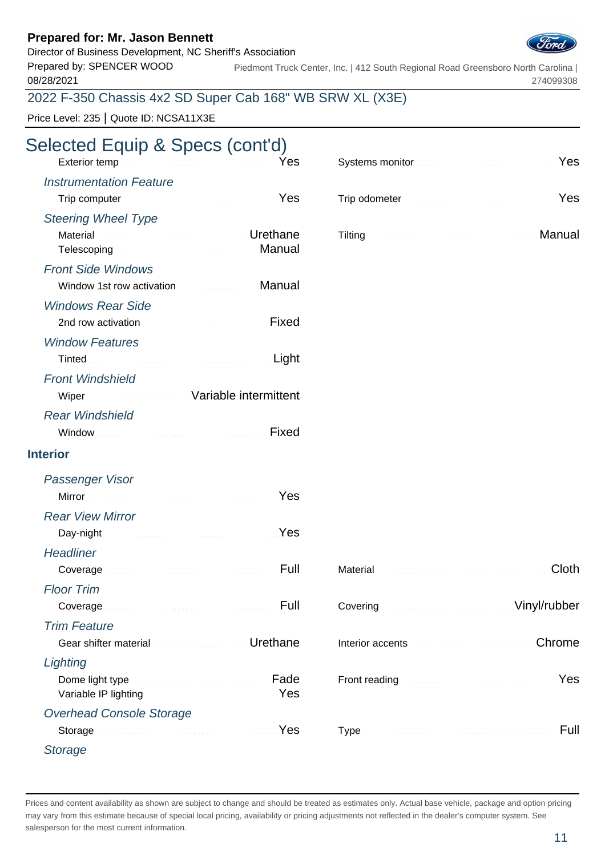Director of Business Development, NC Sheriff's Association

Prepared by: SPENCER WOOD 08/28/2021

Piedmont Truck Center, Inc. | 412 South Regional Road Greensboro North Carolina | 274099308

## 2022 F-350 Chassis 4x2 SD Super Cab 168" WB SRW XL (X3E)

Price Level: 235 | Quote ID: NCSA11X3E

| Selected Equip & Specs (cont'd)<br>Yes                                                                                                                                                                                               | Systems monitor <b>Executive Contract of August</b> 2014 Nes |
|--------------------------------------------------------------------------------------------------------------------------------------------------------------------------------------------------------------------------------------|--------------------------------------------------------------|
| <b>Instrumentation Feature</b>                                                                                                                                                                                                       |                                                              |
| Trip computer <b>Election Computer Computer Computer</b>                                                                                                                                                                             | Trip odometer <b>Election Contract Contract of Press</b>     |
| <b>Steering Wheel Type</b>                                                                                                                                                                                                           |                                                              |
| <b>Communications</b> of the communication of <b>Urethane</b><br>Material<br>Telescoping <b>Election Community</b> Manual                                                                                                            | Tilting Manual Manual Account of the Manual Manual           |
| <b>Front Side Windows</b>                                                                                                                                                                                                            |                                                              |
| Window 1st row activation <b>Communist Contract Manual</b>                                                                                                                                                                           |                                                              |
| <b>Windows Rear Side</b>                                                                                                                                                                                                             |                                                              |
| 2nd row activation <b>Committee Committee Committee Committee Committee Committee Committee Committee Committee Committee Committee Committee Committee Committee Committee Committee Committee Committee Committee Committee Co</b> |                                                              |
| <b>Window Features</b>                                                                                                                                                                                                               |                                                              |
| Light                                                                                                                                                                                                                                |                                                              |
| <b>Front Windshield</b>                                                                                                                                                                                                              |                                                              |
| Wiper Wiper Street Mariable intermittent                                                                                                                                                                                             |                                                              |
| <b>Rear Windshield</b>                                                                                                                                                                                                               |                                                              |
| Fixed                                                                                                                                                                                                                                |                                                              |
| <b>Interior</b>                                                                                                                                                                                                                      |                                                              |
| <b>Passenger Visor</b>                                                                                                                                                                                                               |                                                              |
| Yes                                                                                                                                                                                                                                  |                                                              |
| <b>Rear View Mirror</b>                                                                                                                                                                                                              |                                                              |
| Yes                                                                                                                                                                                                                                  |                                                              |
| <b>Headliner</b>                                                                                                                                                                                                                     |                                                              |
| Full<br>Coverage                                                                                                                                                                                                                     | Cloth<br>Material Commission Commission and Commission       |
| <b>Floor Trim</b>                                                                                                                                                                                                                    |                                                              |
| Full<br>Coverage                                                                                                                                                                                                                     | Vinyl/rubber                                                 |
| <b>Trim Feature</b>                                                                                                                                                                                                                  |                                                              |
| Gear shifter material <b>Contract Contract Contract Contract Contract Contract Contract Contract Contract Contract Contract Contract Contract Contract Contract Contract Contract Contract Contract Contract Contract Contract C</b> | Chrome                                                       |
| Lighting                                                                                                                                                                                                                             |                                                              |
| Dome light type <b>Exercise Community</b> Fade<br>Variable IP lighting Manual Account of the Vest                                                                                                                                    | Yes                                                          |
| <b>Overhead Console Storage</b>                                                                                                                                                                                                      |                                                              |
| Storage New Yes                                                                                                                                                                                                                      | Full                                                         |
| <b>Storage</b>                                                                                                                                                                                                                       |                                                              |